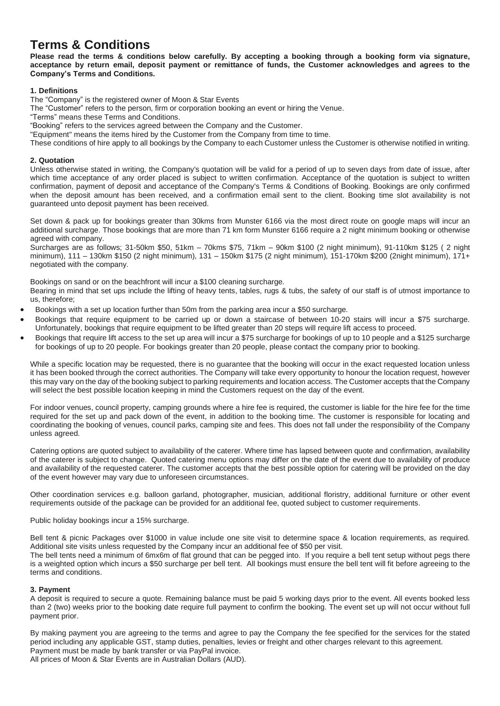# **Terms & Conditions**

Please read the terms & conditions below carefully. By accepting a booking through a booking form via signature, acceptance by return email, deposit payment or remittance of funds, the Customer acknowledges and agrees to the **Company's Terms and Conditions.**

# **1. Definitions**

The "Company" is the registered owner of Moon & Star Events

The "Customer" refers to the person, firm or corporation booking an event or hiring the Venue.

"Terms" means these Terms and Conditions.

"Booking" refers to the services agreed between the Company and the Customer.

"Equipment" means the items hired by the Customer from the Company from time to time.

These conditions of hire apply to all bookings by the Company to each Customer unless the Customer is otherwise notified in writing.

## **2. Quotation**

Unless otherwise stated in writing, the Company's quotation will be valid for a period of up to seven days from date of issue, after which time acceptance of any order placed is subject to written confirmation. Acceptance of the quotation is subject to written confirmation, payment of deposit and acceptance of the Company's Terms & Conditions of Booking. Bookings are only confirmed when the deposit amount has been received, and a confirmation email sent to the client. Booking time slot availability is not guaranteed unto deposit payment has been received.

Set down & pack up for bookings greater than 30kms from Munster 6166 via the most direct route on google maps will incur an additional surcharge. Those bookings that are more than 71 km form Munster 6166 require a 2 night minimum booking or otherwise agreed with company.

Surcharges are as follows; 31-50km \$50, 51km – 70kms \$75, 71km – 90km \$100 (2 night minimum), 91-110km \$125 ( 2 night minimum), 111 – 130km \$150 (2 night minimum), 131 – 150km \$175 (2 night minimum), 151-170km \$200 (2night minimum), 171+ negotiated with the company.

Bookings on sand or on the beachfront will incur a \$100 cleaning surcharge.

Bearing in mind that set ups include the lifting of heavy tents, tables, rugs & tubs, the safety of our staff is of utmost importance to us, therefore;

- Bookings with a set up location further than 50m from the parking area incur a \$50 surcharge.
- Bookings that require equipment to be carried up or down a staircase of between 10-20 stairs will incur a \$75 surcharge. Unfortunately, bookings that require equipment to be lifted greater than 20 steps will require lift access to proceed.
- Bookings that require lift access to the set up area will incur a \$75 surcharge for bookings of up to 10 people and a \$125 surcharge for bookings of up to 20 people. For bookings greater than 20 people, please contact the company prior to booking.

While a specific location may be requested, there is no quarantee that the booking will occur in the exact requested location unless it has been booked through the correct authorities. The Company will take every opportunity to honour the location request, however this may vary on the day of the booking subject to parking requirements and location access. The Customer accepts that the Company will select the best possible location keeping in mind the Customers request on the day of the event.

For indoor venues, council property, camping grounds where a hire fee is required, the customer is liable for the hire fee for the time required for the set up and pack down of the event, in addition to the booking time. The customer is responsible for locating and coordinating the booking of venues, council parks, camping site and fees. This does not fall under the responsibility of the Company unless agreed.

Catering options are quoted subject to availability of the caterer. Where time has lapsed between quote and confirmation, availability of the caterer is subject to change. Quoted catering menu options may differ on the date of the event due to availability of produce and availability of the requested caterer. The customer accepts that the best possible option for catering will be provided on the day of the event however may vary due to unforeseen circumstances.

Other coordination services e.g. balloon garland, photographer, musician, additional floristry, additional furniture or other event requirements outside of the package can be provided for an additional fee, quoted subject to customer requirements.

Public holiday bookings incur a 15% surcharge.

Bell tent & picnic Packages over \$1000 in value include one site visit to determine space & location requirements, as required. Additional site visits unless requested by the Company incur an additional fee of \$50 per visit.

The bell tents need a minimum of 6mx6m of flat ground that can be pegged into. If you require a bell tent setup without pegs there is a weighted option which incurs a \$50 surcharge per bell tent. All bookings must ensure the bell tent will fit before agreeing to the terms and conditions.

# **3. Payment**

A deposit is required to secure a quote. Remaining balance must be paid 5 working days prior to the event. All events booked less than 2 (two) weeks prior to the booking date require full payment to confirm the booking. The event set up will not occur without full payment prior.

By making payment you are agreeing to the terms and agree to pay the Company the fee specified for the services for the stated period including any applicable GST, stamp duties, penalties, levies or freight and other charges relevant to this agreement. Payment must be made by bank transfer or via PayPal invoice.

All prices of Moon & Star Events are in Australian Dollars (AUD).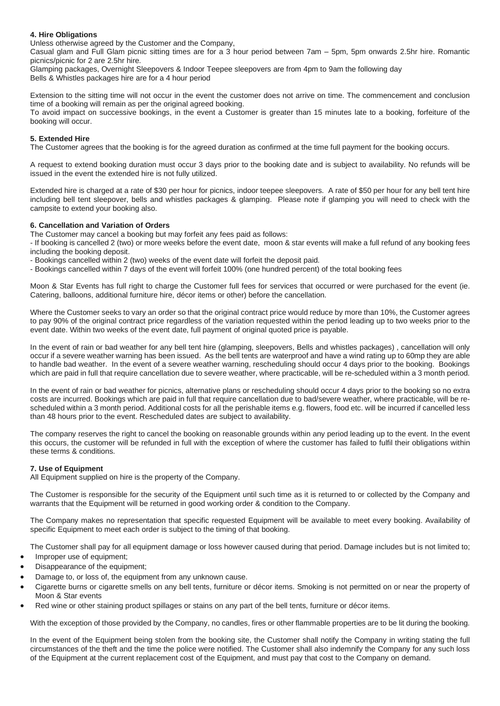# **4. Hire Obligations**

Unless otherwise agreed by the Customer and the Company,

Casual glam and Full Glam picnic sitting times are for a 3 hour period between 7am – 5pm, 5pm onwards 2.5hr hire. Romantic picnics/picnic for 2 are 2.5hr hire.

Glamping packages, Overnight Sleepovers & Indoor Teepee sleepovers are from 4pm to 9am the following day Bells & Whistles packages hire are for a 4 hour period

Extension to the sitting time will not occur in the event the customer does not arrive on time. The commencement and conclusion time of a booking will remain as per the original agreed booking.

To avoid impact on successive bookings, in the event a Customer is greater than 15 minutes late to a booking, forfeiture of the booking will occur.

# **5. Extended Hire**

The Customer agrees that the booking is for the agreed duration as confirmed at the time full payment for the booking occurs.

A request to extend booking duration must occur 3 days prior to the booking date and is subject to availability. No refunds will be issued in the event the extended hire is not fully utilized.

Extended hire is charged at a rate of \$30 per hour for picnics, indoor teepee sleepovers. A rate of \$50 per hour for any bell tent hire including bell tent sleepover, bells and whistles packages & glamping. Please note if glamping you will need to check with the campsite to extend your booking also.

### **6. Cancellation and Variation of Orders**

The Customer may cancel a booking but may forfeit any fees paid as follows:

- If booking is cancelled 2 (two) or more weeks before the event date, moon & star events will make a full refund of any booking fees including the booking deposit.

- Bookings cancelled within 2 (two) weeks of the event date will forfeit the deposit paid.

- Bookings cancelled within 7 days of the event will forfeit 100% (one hundred percent) of the total booking fees

Moon & Star Events has full right to charge the Customer full fees for services that occurred or were purchased for the event (ie. Catering, balloons, additional furniture hire, décor items or other) before the cancellation.

Where the Customer seeks to vary an order so that the original contract price would reduce by more than 10%, the Customer agrees to pay 90% of the original contract price regardless of the variation requested within the period leading up to two weeks prior to the event date. Within two weeks of the event date, full payment of original quoted price is payable.

In the event of rain or bad weather for any bell tent hire (glamping, sleepovers, Bells and whistles packages) , cancellation will only occur if a severe weather warning has been issued. As the bell tents are waterproof and have a wind rating up to 60mp they are able to handle bad weather. In the event of a severe weather warning, rescheduling should occur 4 days prior to the booking. Bookings which are paid in full that require cancellation due to severe weather, where practicable, will be re-scheduled within a 3 month period.

In the event of rain or bad weather for picnics, alternative plans or rescheduling should occur 4 days prior to the booking so no extra costs are incurred. Bookings which are paid in full that require cancellation due to bad/severe weather, where practicable, will be rescheduled within a 3 month period. Additional costs for all the perishable items e.g. flowers, food etc. will be incurred if cancelled less than 48 hours prior to the event. Rescheduled dates are subject to availability.

The company reserves the right to cancel the booking on reasonable grounds within any period leading up to the event. In the event this occurs, the customer will be refunded in full with the exception of where the customer has failed to fulfil their obligations within these terms & conditions.

# **7. Use of Equipment**

All Equipment supplied on hire is the property of the Company.

The Customer is responsible for the security of the Equipment until such time as it is returned to or collected by the Company and warrants that the Equipment will be returned in good working order & condition to the Company.

The Company makes no representation that specific requested Equipment will be available to meet every booking. Availability of specific Equipment to meet each order is subject to the timing of that booking.

The Customer shall pay for all equipment damage or loss however caused during that period. Damage includes but is not limited to; • Improper use of equipment;

- Disappearance of the equipment;
- Damage to, or loss of, the equipment from any unknown cause.
- Cigarette burns or cigarette smells on any bell tents, furniture or décor items. Smoking is not permitted on or near the property of Moon & Star events
- Red wine or other staining product spillages or stains on any part of the bell tents, furniture or décor items.

With the exception of those provided by the Company, no candles, fires or other flammable properties are to be lit during the booking.

In the event of the Equipment being stolen from the booking site, the Customer shall notify the Company in writing stating the full circumstances of the theft and the time the police were notified. The Customer shall also indemnify the Company for any such loss of the Equipment at the current replacement cost of the Equipment, and must pay that cost to the Company on demand.